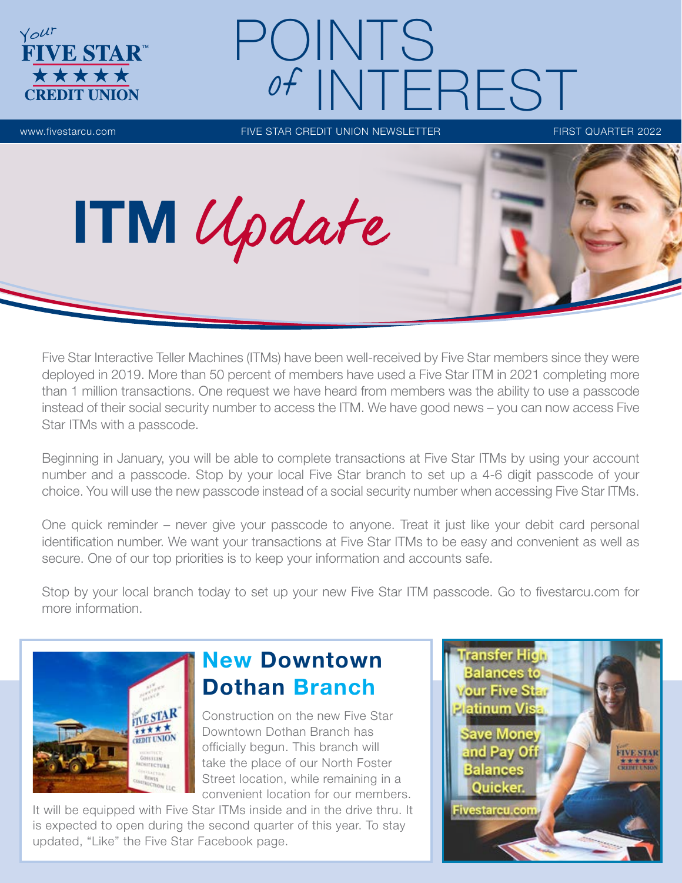

# POINTS of INTEREST

www.fivestarcu.com FIVE STAR CREDIT UNION NEWSLETTER FIRST QUARTER 2022

Five Star Interactive Teller Machines (ITMs) have been well-received by Five Star members since they were deployed in 2019. More than 50 percent of members have used a Five Star ITM in 2021 completing more than 1 million transactions. One request we have heard from members was the ability to use a passcode instead of their social security number to access the ITM. We have good news – you can now access Five Star ITMs with a passcode.

Beginning in January, you will be able to complete transactions at Five Star ITMs by using your account number and a passcode. Stop by your local Five Star branch to set up a 4-6 digit passcode of your choice. You will use the new passcode instead of a social security number when accessing Five Star ITMs.

One quick reminder – never give your passcode to anyone. Treat it just like your debit card personal identification number. We want your transactions at Five Star ITMs to be easy and convenient as well as secure. One of our top priorities is to keep your information and accounts safe.

Stop by your local branch today to set up your new Five Star ITM passcode. Go to fivestarcu.com for more information.



# New Downtown Dothan Branch

Construction on the new Five Star Downtown Dothan Branch has officially begun. This branch will take the place of our North Foster Street location, while remaining in a convenient location for our members.

It will be equipped with Five Star ITMs inside and in the drive thru. It is expected to open during the second quarter of this year. To stay updated, "Like" the Five Star Facebook page.

ITM Update